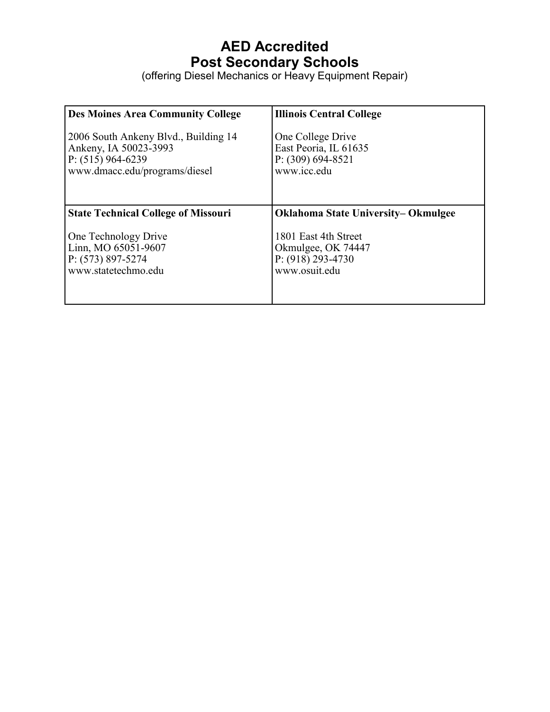## **AED Accredited Post Secondary Schools**

(offering Diesel Mechanics or Heavy Equipment Repair)

| <b>Des Moines Area Community College</b>   | <b>Illinois Central College</b>            |
|--------------------------------------------|--------------------------------------------|
| 2006 South Ankeny Blvd., Building 14       | One College Drive                          |
| Ankeny, IA 50023-3993                      | East Peoria, IL 61635                      |
| P: $(515)$ 964-6239                        | P: $(309) 694-8521$                        |
| www.dmacc.edu/programs/diesel              | www.icc.edu                                |
| <b>State Technical College of Missouri</b> | <b>Oklahoma State University– Okmulgee</b> |
| One Technology Drive                       | 1801 East 4th Street                       |
| Linn, MO 65051-9607                        | Okmulgee, OK 74447                         |
| $P: (573) 897 - 5274$                      | $P: (918) 293 - 4730$                      |
| www.statetechmo.edu                        | www.osuit.edu                              |